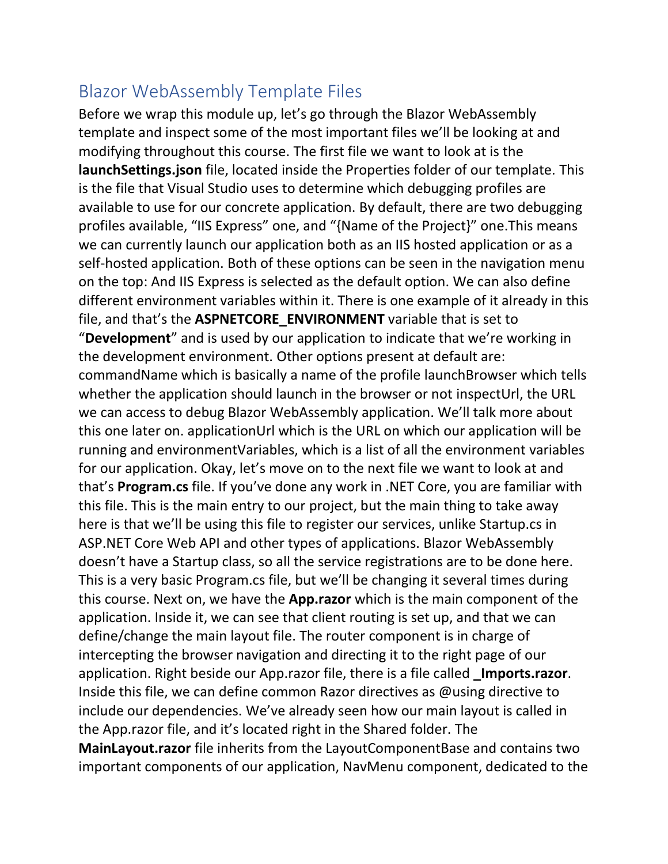## Blazor WebAssembly Template Files

Before we wrap this module up, let's go through the Blazor WebAssembly template and inspect some of the most important files we'll be looking at and modifying throughout this course. The first file we want to look at is the **launchSettings.json** file, located inside the Properties folder of our template. This is the file that Visual Studio uses to determine which debugging profiles are available to use for our concrete application. By default, there are two debugging profiles available, "IIS Express" one, and "{Name of the Project}" one.This means we can currently launch our application both as an IIS hosted application or as a self-hosted application. Both of these options can be seen in the navigation menu on the top: And IIS Express is selected as the default option. We can also define different environment variables within it. There is one example of it already in this file, and that's the **ASPNETCORE\_ENVIRONMENT** variable that is set to "**Development**" and is used by our application to indicate that we're working in the development environment. Other options present at default are: commandName which is basically a name of the profile launchBrowser which tells whether the application should launch in the browser or not inspectUrl, the URL we can access to debug Blazor WebAssembly application. We'll talk more about this one later on. applicationUrl which is the URL on which our application will be running and environmentVariables, which is a list of all the environment variables for our application. Okay, let's move on to the next file we want to look at and that's **Program.cs** file. If you've done any work in .NET Core, you are familiar with this file. This is the main entry to our project, but the main thing to take away here is that we'll be using this file to register our services, unlike Startup.cs in ASP.NET Core Web API and other types of applications. Blazor WebAssembly doesn't have a Startup class, so all the service registrations are to be done here. This is a very basic Program.cs file, but we'll be changing it several times during this course. Next on, we have the **App.razor** which is the main component of the application. Inside it, we can see that client routing is set up, and that we can define/change the main layout file. The router component is in charge of intercepting the browser navigation and directing it to the right page of our application. Right beside our App.razor file, there is a file called **\_Imports.razor**. Inside this file, we can define common Razor directives as @using directive to include our dependencies. We've already seen how our main layout is called in the App.razor file, and it's located right in the Shared folder. The **MainLayout.razor** file inherits from the LayoutComponentBase and contains two important components of our application, NavMenu component, dedicated to the